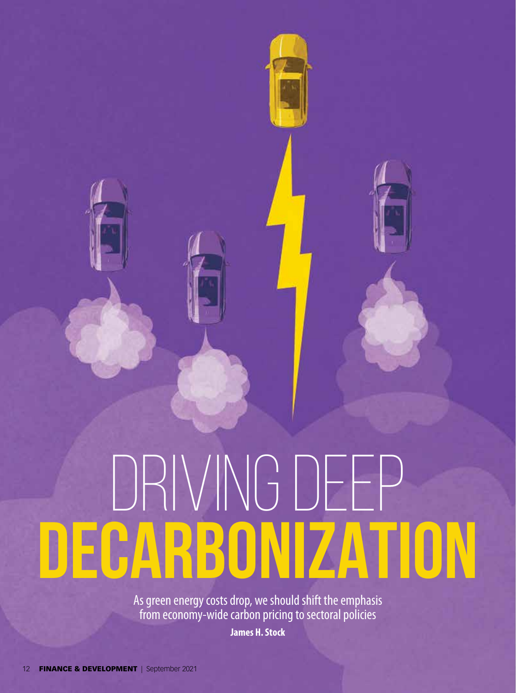# DRIVING DEEP **DECARBONIZATION**

As green energy costs drop, we should shift the emphasis from economy-wide carbon pricing to sectoral policies

**James H. Stock**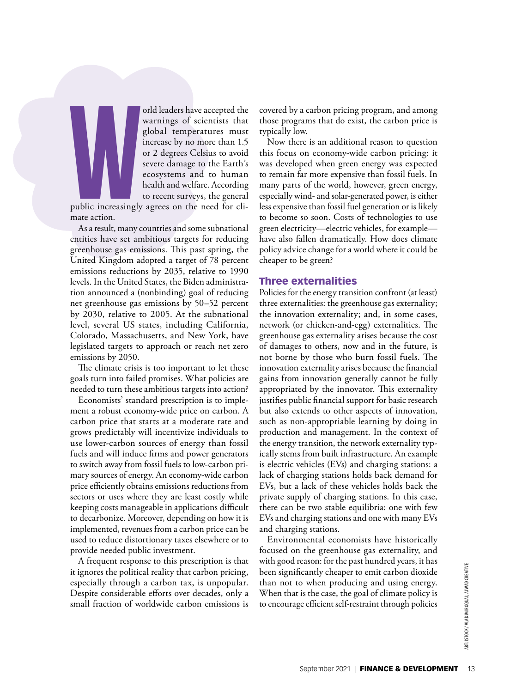

orld leaders have accepted the warnings of scientists that global temperatures must increase by no more than 1.5 or 2 degrees Celsius to avoid severe damage to the Earth's ecosystems and to human health and welfare. According to recent surveys, the general

public increasingly agrees on the need for climate action.

As a result, many countries and some subnational entities have set ambitious targets for reducing greenhouse gas emissions. This past spring, the United Kingdom adopted a target of 78 percent emissions reductions by 2035, relative to 1990 levels. In the United States, the Biden administration announced a (nonbinding) goal of reducing net greenhouse gas emissions by 50–52 percent by 2030, relative to 2005. At the subnational level, several US states, including California, Colorado, Massachusetts, and New York, have legislated targets to approach or reach net zero emissions by 2050.

The climate crisis is too important to let these goals turn into failed promises. What policies are needed to turn these ambitious targets into action?

Economists' standard prescription is to implement a robust economy-wide price on carbon. A carbon price that starts at a moderate rate and grows predictably will incentivize individuals to use lower-carbon sources of energy than fossil fuels and will induce firms and power generators to switch away from fossil fuels to low-carbon primary sources of energy. An economy-wide carbon price efficiently obtains emissions reductions from sectors or uses where they are least costly while keeping costs manageable in applications difficult to decarbonize. Moreover, depending on how it is implemented, revenues from a carbon price can be used to reduce distortionary taxes elsewhere or to provide needed public investment.

A frequent response to this prescription is that it ignores the political reality that carbon pricing, especially through a carbon tax, is unpopular. Despite considerable efforts over decades, only a small fraction of worldwide carbon emissions is

covered by a carbon pricing program, and among those programs that do exist, the carbon price is typically low.

Now there is an additional reason to question this focus on economy-wide carbon pricing: it was developed when green energy was expected to remain far more expensive than fossil fuels. In many parts of the world, however, green energy, especially wind- and solar-generated power, is either less expensive than fossil fuel generation or is likely to become so soon. Costs of technologies to use green electricity—electric vehicles, for example have also fallen dramatically. How does climate policy advice change for a world where it could be cheaper to be green?

# Three externalities

Policies for the energy transition confront (at least) three externalities: the greenhouse gas externality; the innovation externality; and, in some cases, network (or chicken-and-egg) externalities. The greenhouse gas externality arises because the cost of damages to others, now and in the future, is not borne by those who burn fossil fuels. The innovation externality arises because the financial gains from innovation generally cannot be fully appropriated by the innovator. This externality justifies public financial support for basic research but also extends to other aspects of innovation, such as non-appropriable learning by doing in production and management. In the context of the energy transition, the network externality typically stems from built infrastructure. An example is electric vehicles (EVs) and charging stations: a lack of charging stations holds back demand for EVs, but a lack of these vehicles holds back the private supply of charging stations. In this case, there can be two stable equilibria: one with few EVs and charging stations and one with many EVs and charging stations.

Environmental economists have historically focused on the greenhouse gas externality, and with good reason: for the past hundred years, it has been significantly cheaper to emit carbon dioxide than not to when producing and using energy. When that is the case, the goal of climate policy is to encourage efficient self-restraint through policies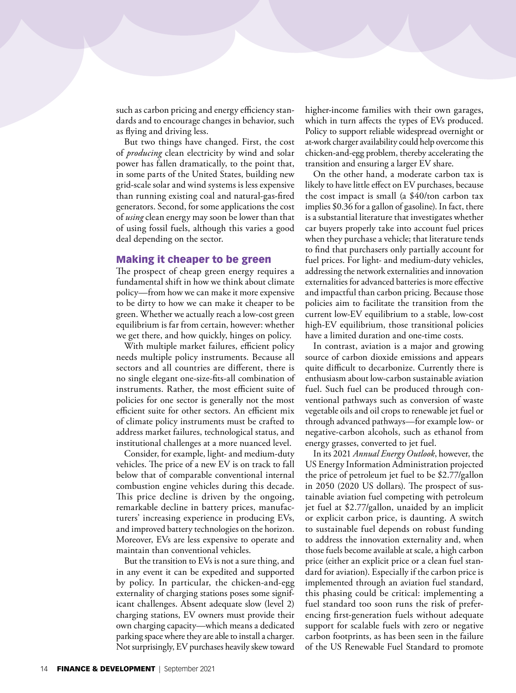such as carbon pricing and energy efficiency standards and to encourage changes in behavior, such as flying and driving less.

But two things have changed. First, the cost of *producing* clean electricity by wind and solar power has fallen dramatically, to the point that, in some parts of the United States, building new grid-scale solar and wind systems is less expensive than running existing coal and natural-gas-fired generators. Second, for some applications the cost of *using* clean energy may soon be lower than that of using fossil fuels, although this varies a good deal depending on the sector.

## Making it cheaper to be green

The prospect of cheap green energy requires a fundamental shift in how we think about climate policy—from how we can make it more expensive to be dirty to how we can make it cheaper to be green. Whether we actually reach a low-cost green equilibrium is far from certain, however: whether we get there, and how quickly, hinges on policy.

With multiple market failures, efficient policy needs multiple policy instruments. Because all sectors and all countries are different, there is no single elegant one-size-fits-all combination of instruments. Rather, the most efficient suite of policies for one sector is generally not the most efficient suite for other sectors. An efficient mix of climate policy instruments must be crafted to address market failures, technological status, and institutional challenges at a more nuanced level.

Consider, for example, light- and medium-duty vehicles. The price of a new EV is on track to fall below that of comparable conventional internal combustion engine vehicles during this decade. This price decline is driven by the ongoing, remarkable decline in battery prices, manufacturers' increasing experience in producing EVs, and improved battery technologies on the horizon. Moreover, EVs are less expensive to operate and maintain than conventional vehicles.

But the transition to EVs is not a sure thing, and in any event it can be expedited and supported by policy. In particular, the chicken-and-egg externality of charging stations poses some significant challenges. Absent adequate slow (level 2) charging stations, EV owners must provide their own charging capacity—which means a dedicated parking space where they are able to install a charger. Not surprisingly, EV purchases heavily skew toward higher-income families with their own garages, which in turn affects the types of EVs produced. Policy to support reliable widespread overnight or at-work charger availability could help overcome this chicken-and-egg problem, thereby accelerating the transition and ensuring a larger EV share.

On the other hand, a moderate carbon tax is likely to have little effect on EV purchases, because the cost impact is small (a \$40/ton carbon tax implies \$0.36 for a gallon of gasoline). In fact, there is a substantial literature that investigates whether car buyers properly take into account fuel prices when they purchase a vehicle; that literature tends to find that purchasers only partially account for fuel prices. For light- and medium-duty vehicles, addressing the network externalities and innovation externalities for advanced batteries is more effective and impactful than carbon pricing. Because those policies aim to facilitate the transition from the current low-EV equilibrium to a stable, low-cost high-EV equilibrium, those transitional policies have a limited duration and one-time costs.

In contrast, aviation is a major and growing source of carbon dioxide emissions and appears quite difficult to decarbonize. Currently there is enthusiasm about low-carbon sustainable aviation fuel. Such fuel can be produced through conventional pathways such as conversion of waste vegetable oils and oil crops to renewable jet fuel or through advanced pathways—for example low- or negative-carbon alcohols, such as ethanol from energy grasses, converted to jet fuel.

In its 2021 *Annual Energy Outlook*, however, the US Energy Information Administration projected the price of petroleum jet fuel to be \$2.77/gallon in 2050 (2020 US dollars). The prospect of sustainable aviation fuel competing with petroleum jet fuel at \$2.77/gallon, unaided by an implicit or explicit carbon price, is daunting. A switch to sustainable fuel depends on robust funding to address the innovation externality and, when those fuels become available at scale, a high carbon price (either an explicit price or a clean fuel standard for aviation). Especially if the carbon price is implemented through an aviation fuel standard, this phasing could be critical: implementing a fuel standard too soon runs the risk of preferencing first-generation fuels without adequate support for scalable fuels with zero or negative carbon footprints, as has been seen in the failure of the US Renewable Fuel Standard to promote